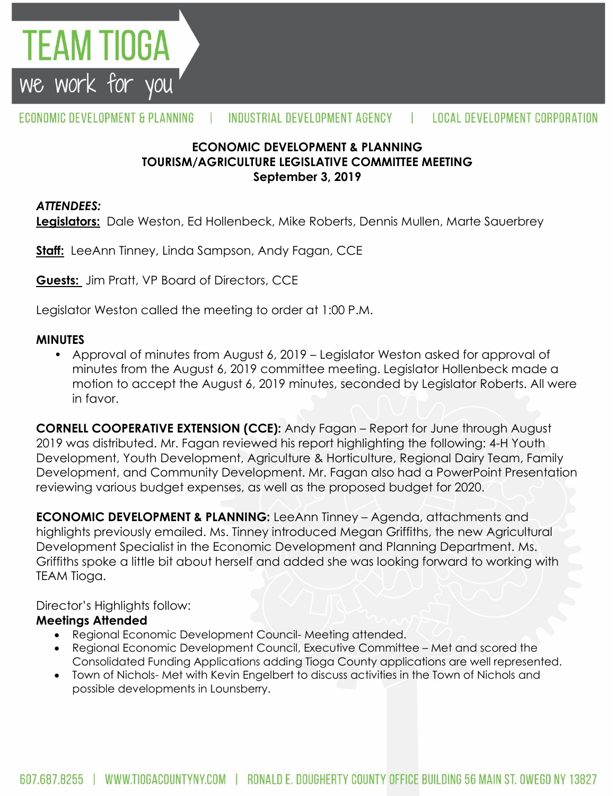

## **ECONOMIC DEVELOPMENT & PLANNING TOURISM/AGRICULTURE LEGISLATIVE COMMITTEE MEETING September 3, 2019**

### *ATTENDEES:*

TEAM TIOGA

we work for you

**Legislators:** Dale Weston, Ed Hollenbeck, Mike Roberts, Dennis Mullen, Marte Sauerbrey

**Staff:** LeeAnn Tinney, Linda Sampson, Andy Fagan, CCE

**Guests:** Jim Pratt, VP Board of Directors, CCE

Legislator Weston called the meeting to order at 1:00 P.M.

#### **MINUTES**

• Approval of minutes from August 6, 2019 – Legislator Weston asked for approval of minutes from the August 6, 2019 committee meeting. Legislator Hollenbeck made a motion to accept the August 6, 2019 minutes, seconded by Legislator Roberts. All were in favor.

**CORNELL COOPERATIVE EXTENSION (CCE):** Andy Fagan – Report for June through August 2019 was distributed. Mr. Fagan reviewed his report highlighting the following: 4-H Youth Development, Youth Development, Agriculture & Horticulture, Regional Dairy Team, Family Development, and Community Development. Mr. Fagan also had a PowerPoint Presentation reviewing various budget expenses, as well as the proposed budget for 2020.

**ECONOMIC DEVELOPMENT & PLANNING:** LeeAnn Tinney – Agenda, attachments and highlights previously emailed. Ms. Tinney introduced Megan Griffiths, the new Agricultural Development Specialist in the Economic Development and Planning Department. Ms. Griffiths spoke a little bit about herself and added she was looking forward to working with TEAM Tioga.

Director's Highlights follow:

## **Meetings Attended**

- Regional Economic Development Council- Meeting attended.
- Regional Economic Development Council, Executive Committee Met and scored the Consolidated Funding Applications adding Tioga County applications are well represented.
- Town of Nichols- Met with Kevin Engelbert to discuss activities in the Town of Nichols and possible developments in Lounsberry.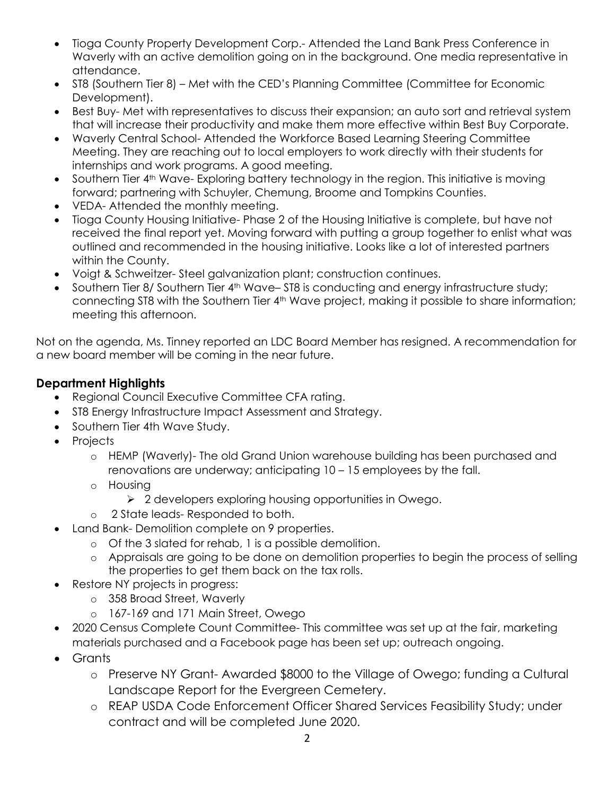- Tioga County Property Development Corp.- Attended the Land Bank Press Conference in Waverly with an active demolition going on in the background. One media representative in attendance.
- ST8 (Southern Tier 8) Met with the CED's Planning Committee (Committee for Economic Development).
- Best Buy- Met with representatives to discuss their expansion; an auto sort and retrieval system that will increase their productivity and make them more effective within Best Buy Corporate.
- Waverly Central School- Attended the Workforce Based Learning Steering Committee Meeting. They are reaching out to local employers to work directly with their students for internships and work programs. A good meeting.
- Southern Tier 4<sup>th</sup> Wave- Exploring battery technology in the region. This initiative is moving forward; partnering with Schuyler, Chemung, Broome and Tompkins Counties.
- VEDA- Attended the monthly meeting.
- Tioga County Housing Initiative- Phase 2 of the Housing Initiative is complete, but have not received the final report yet. Moving forward with putting a group together to enlist what was outlined and recommended in the housing initiative. Looks like a lot of interested partners within the County.
- Voigt & Schweitzer- Steel galvanization plant; construction continues.
- Southern Tier 8/ Southern Tier 4<sup>th</sup> Wave– ST8 is conducting and energy infrastructure study; connecting ST8 with the Southern Tier 4<sup>th</sup> Wave project, making it possible to share information; meeting this afternoon.

Not on the agenda, Ms. Tinney reported an LDC Board Member has resigned. A recommendation for a new board member will be coming in the near future.

# **Department Highlights**

- Regional Council Executive Committee CFA rating.
- ST8 Energy Infrastructure Impact Assessment and Strategy.
- Southern Tier 4th Wave Study.
- Projects
	- o HEMP (Waverly)- The old Grand Union warehouse building has been purchased and renovations are underway; anticipating 10 – 15 employees by the fall.
	- o Housing
		- 2 developers exploring housing opportunities in Owego.
	- o 2 State leads- Responded to both.
- Land Bank- Demolition complete on 9 properties.
	- o Of the 3 slated for rehab, 1 is a possible demolition.
		- o Appraisals are going to be done on demolition properties to begin the process of selling the properties to get them back on the tax rolls.
- Restore NY projects in progress:
	- o 358 Broad Street, Waverly
	- o 167-169 and 171 Main Street, Owego
- 2020 Census Complete Count Committee- This committee was set up at the fair, marketing materials purchased and a Facebook page has been set up; outreach ongoing.
- **Grants** 
	- o Preserve NY Grant- Awarded \$8000 to the Village of Owego; funding a Cultural Landscape Report for the Evergreen Cemetery.
	- o REAP USDA Code Enforcement Officer Shared Services Feasibility Study; under contract and will be completed June 2020.